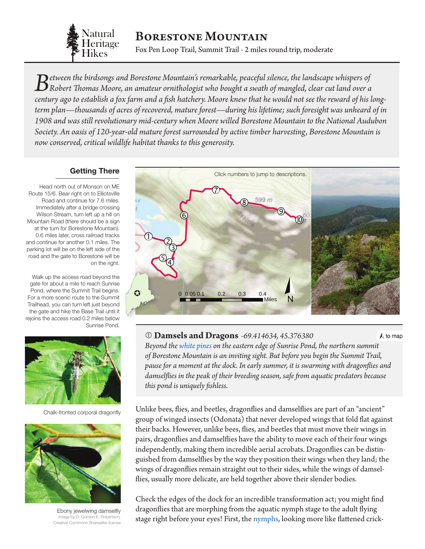

# Borestone Mountain

Fox Pen Loop Trail, Summit Trail - 2 miles round trip, moderate

0 0.1 0.2 0.3 0.4 0.05 *Between the birdsongs and Borestone Mountain's remarkable, peaceful silence, the landscape whispers of Robert Thomas Moore, an amateur ornithologist who bought a swath of mangled, clear cut land over a century ago to establish a fox farm and a fish hatchery. Moore knew that he would not see the reward of his longterm plan—thousands of acres of recovered, mature forest—during his lifetime; such foresight was unheard of in 1908 and was still revolutionary mid-century when Moore willed Borestone Mountain to the National Audubon Society. An oasis of 120-year-old mature forest surrounded by active timber harvesting, Borestone Mountain is now conserved, critical wildlife habitat thanks to this generosity.*

#### **Getting There**

Head north out of Monson on ME Route 15/6. Bear right on to Elliotsville Road and continue for 7.6 miles. Immediately after a bridge crossing Wilson Stream, turn left up a hill on Mountain Road (there should be a sign at the turn for Borestone Mountain). 0.6 miles later, cross railroad tracks and continue for another 0.1 miles. The parking lot will be on the left side of the road and the gate to Borestone will be on the right.

Walk up the access road beyond the gate for about a mile to reach Sunrise Pond, where the Summit Trail begins. For a more scenic route to the Summit Trailhead, you can turn left just beyond the gate and hike the Base Trail until it rejoins the access road 0.2 miles below Sunrise Pond.



Chalk-fronted corporal dragonfly



Ebony jewelwing damselfly Image by D. Gordon E. Robertson, Creative Commons Sharealike license

<span id="page-0-0"></span>

 **Damsels and Dragons** *-69.414634, 45.376380*  $\bigwedge$  to map *Beyond the [white pines](http://dendro.cnre.vt.edu/dendrology/syllabus/factsheet.cfm?ID=111) on the eastern edge of Sunrise Pond, the northern su[mmit](#page-0-0)  of Borestone Mountain is an inviting sight. But before you begin the Summit Trail, pause for a moment at the dock. In early summer, it is swarming with dragonflies and damselflies in the peak of their breeding season, safe from aquatic predators because this pond is uniquely fishless.*

Unlike bees, flies, and beetles, dragonflies and damselflies are part of an "ancient" group of winged insects (Odonata) that never developed wings that fold flat against their backs. However, unlike bees, flies, and beetles that must move their wings in pairs, dragonflies and damselflies have the ability to move each of their four wings independently, making them incredible aerial acrobats. Dragonflies can be distinguished from damselflies by the way they position their wings when they land; the wings of dragonflies remain straight out to their sides, while the wings of damselflies, usually more delicate, are held together above their slender bodies.

Check the edges of the dock for an incredible transformation act; you might find dragonflies that are morphing from the aquatic nymph stage to the adult flying stage right before your eyes! First, the [nymphs](#page-5-0), looking more like flattened crick-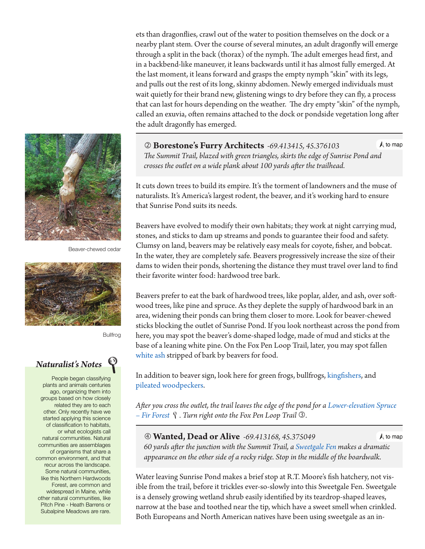

Beaver-chewed cedar



Bullfrog

## *Naturalist's Notes*

People began classifying plants and animals centuries ago, organizing them into groups based on how closely related they are to each other. Only recently have we started applying this science of classification to habitats, or what ecologists call natural communities. Natural communities are assemblages of organisms that share a common environment, and that recur across the landscape. Some natural communities, like this Northern Hardwoods Forest, are common and widespread in Maine, while other natural communities, like Pitch Pine - Heath Barrens or Subalpine Meadows are rare.

ets than dragonflies, crawl out of the water to position themselves on the dock or a nearby plant stem. Over the course of several minutes, an adult dragonfly will emerge through a split in the back (thorax) of the nymph. The adult emerges head first, and in a backbend-like maneuver, it leans backwards until it has almost fully emerged. At the last moment, it leans forward and grasps the empty nymph "skin" with its legs, and pulls out the rest of its long, skinny abdomen. Newly emerged individuals must wait quietly for their brand new, glistening wings to dry before they can fly, a process that can last for hours depending on the weather. The dry empty "skin" of the nymph, called an exuvia, often remains attached to the dock or pondside vegetation long after the adult dragonfly has emerged.

 **Borestone's Furry Architects** *-69.413415, 45.376103*  $\Lambda$  to map  *The Summit Trail, blazed with green triangles, skirts the edge of Sunrise Po[nd and](#page-0-0) crosses the outlet on a wide plank about 100 yards after the trailhead.*

It cuts down trees to build its empire. It's the torment of landowners and the muse of naturalists. It's America's largest rodent, the beaver, and it's working hard to ensure that Sunrise Pond suits its needs.

Beavers have evolved to modify their own habitats; they work at night carrying mud, stones, and sticks to dam up streams and ponds to guarantee their food and safety. Clumsy on land, beavers may be relatively easy meals for coyote, fisher, and bobcat. In the water, they are completely safe. Beavers progressively increase the size of their dams to widen their ponds, shortening the distance they must travel over land to find their favorite winter food: hardwood tree bark.

Beavers prefer to eat the bark of hardwood trees, like poplar, alder, and ash, over softwood trees, like pine and spruce. As they deplete the supply of hardwood bark in an area, widening their ponds can bring them closer to more. Look for beaver-chewed sticks blocking the outlet of Sunrise Pond. If you look northeast across the pond from here, you may spot the beaver's dome-shaped lodge, made of mud and sticks at the base of a leaning white pine. On the Fox Pen Loop Trail, later, you may spot fallen [white ash](http://dendro.cnre.vt.edu/dendrology/syllabus/factsheet.cfm?ID=46) stripped of bark by beavers for food.

In addition to beaver sign, look here for green frogs, bullfrogs, [kingfishers](http://www.allaboutbirds.org/guide/belted_kingfisher/id), and [pileated woodpeckers.](http://www.allaboutbirds.org/guide/Pileated_Woodpecker/id)

*After you cross the outlet, the trail leaves the edge of the pond for a [Lower-elevation Spruce](http://www.maine.gov/dacf/mnap/features/communities/lowelevationspruce.htm)  [– Fir Forest](http://www.maine.gov/dacf/mnap/features/communities/lowelevationspruce.htm) . Turn right onto the Fox Pen Loop Trail .*

 **Wanted, Dead or Alive** *-69.413168, 45.375049*  $\Lambda$  to map  *60 yards after the junction with the Summit Trail, a [Sweetgale Fen](http://www.maine.gov/dacf/mnap/features/communities/sweetgalefen.htm) makes a [dramatic](#page-0-0) appearance on the other side of a rocky ridge. Stop in the middle of the boardwalk.*

Water leaving Sunrise Pond makes a brief stop at R.T. Moore's fish hatchery, not visible from the trail, before it trickles ever-so-slowly into this Sweetgale Fen. Sweetgale is a densely growing wetland shrub easily identified by its teardrop-shaped leaves, narrow at the base and toothed near the tip, which have a sweet smell when crinkled. Both Europeans and North American natives have been using sweetgale as an in-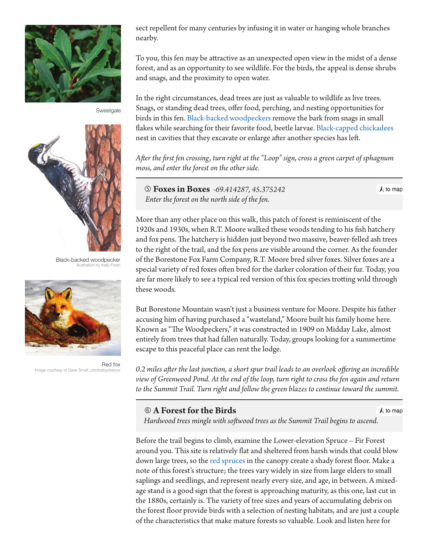

Sweetgale



Black-backed woodpecker Illustration by Kelly Finan



Red fox Image courtesy of Dave Small, photosbychance

sect repellent for many centuries by infusing it in water or hanging whole branches nearby.

To you, this fen may be attractive as an unexpected open view in the midst of a dense forest, and as an opportunity to see wildlife. For the birds, the appeal is dense shrubs and snags, and the proximity to open water.

In the right circumstances, dead trees are just as valuable to wildlife as live trees. Snags, or standing dead trees, offer food, perching, and nesting opportunities for birds in this fen. [Black-backed woodpeckers](http://www.allaboutbirds.org/guide/Black-backed_Woodpecker/id) remove the bark from snags in small flakes while searching for their favorite food, beetle larvae. [Black-capped chickadees](http://www.allaboutbirds.org/guide/Black-capped_Chickadee/id) nest in cavities that they excavate or enlarge after another species has left.

*After the first fen crossing, turn right at the "Loop" sign, cross a green carpet of sphagnum moss, and enter the forest on the other side.*

 **Foxes in Boxes** *-69.414287, 45.375242 Enter the forest on the north side of the fen.*

 $\bigwedge$  to map

More than any other place on this walk, this patch of forest is reminiscent of the 1920s and 1930s, when R.T. Moore walked these woods tending to his fish hatchery and fox pens. The hatchery is hidden just beyond two massive, beaver-felled ash trees to the right of the trail, and the fox pens are visible around the corner. As the founder of the Borestone Fox Farm Company, R.T. Moore bred silver foxes. Silver foxes are a special variety of red foxes often bred for the darker coloration of their fur. Today, you are far more likely to see a typical red version of this fox species trotting wild through these woods.

But Borestone Mountain wasn't just a business venture for Moore. Despite his father accusing him of having purchased a "wasteland," Moore built his family home here. Known as "The Woodpeckers," it was constructed in 1909 on Midday Lake, almost entirely from trees that had fallen naturally. Today, groups looking for a summertime escape to this peaceful place can rent the lodge.

*0.2 miles after the last junction, a short spur trail leads to an overlook offering an incredible view of Greenwood Pond. At the end of the loop, turn right to cross the fen again and return to the Summit Trail. Turn right and follow the green blazes to continue toward the summit.*

### **A Forest for the Birds**

 $\bigwedge$  to map

 *Hardwood trees mingle with softwood trees as the Summit Trail begins to as[cend.](#page-0-0)*

Before the trail begins to climb, examine the Lower-elevation Spruce – Fir Forest around you. This site is relatively flat and sheltered from harsh winds that could blow down large trees, so the [red spruces](http://dendro.cnre.vt.edu/dendrology/syllabus/factsheet.cfm?ID=137) in the canopy create a shady forest floor. Make a note of this forest's structure; the trees vary widely in size from large elders to small saplings and seedlings, and represent nearly every size, and age, in between. A mixedage stand is a good sign that the forest is approaching maturity, as this one, last cut in the 1880s, certainly is. The variety of tree sizes and years of accumulating debris on the forest floor provide birds with a selection of nesting habitats, and are just a couple of the characteristics that make mature forests so valuable. Look and listen here for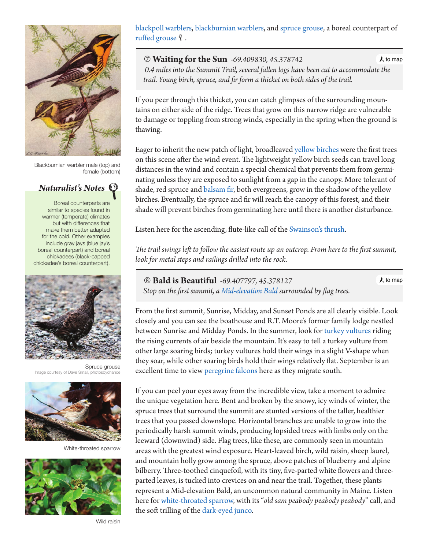

Blackburnian warbler male (top) and female (bottom)

*Naturalist's Notes*

Boreal counterparts are similar to species found in warmer (temperate) climates but with differences that make them better adapted for the cold. Other examples include gray jays (blue jay's boreal counterpart) and boreal chickadees (black-capped chickadee's boreal counterpart).



Spruce grouse Image courtesy of Dave Small, photo



White-throated sparrow



Wild raisin

[blackpoll warblers](http://www.allaboutbirds.org/guide/Blackpoll_Warbler/id), [blackburnian warblers](http://www.allaboutbirds.org/guide/Blackburnian_Warbler/id), and [spruce grouse,](http://www.allaboutbirds.org/guide/Spruce_Grouse/id) a boreal counterpart of [ruffed grouse](http://www.allaboutbirds.org/guide/Ruffed_Grouse/id)  $\hat{y}$ .

 **Waiting for the Sun** *-69.409830, 45.378742*  $\Lambda$  to map  *0.4 miles into the Summit Trail, several fallen logs have been cut to accomm[odate the](#page-0-0) trail. Young birch, spruce, and fir form a thicket on both sides of the trail.*

If you peer through this thicket, you can catch glimpses of the surrounding mountains on either side of the ridge. Trees that grow on this narrow ridge are vulnerable to damage or toppling from strong winds, especially in the spring when the ground is thawing.

Eager to inherit the new patch of light, broadleaved [yellow birches](http://dendro.cnre.vt.edu/dendrology/syllabus/factsheet.cfm?ID=12) were the first trees on this scene after the wind event. The lightweight yellow birch seeds can travel long distances in the wind and contain a special chemical that prevents them from germinating unless they are exposed to sunlight from a gap in the canopy. More tolerant of shade, red spruce and [balsam fir](http://dendro.cnre.vt.edu/dendrology/syllabus/factsheet.cfm?ID=119), both evergreens, grow in the shadow of the yellow birches. Eventually, the spruce and fir will reach the canopy of this forest, and their shade will prevent birches from germinating here until there is another disturbance.

Listen here for the ascending, flute-like call of the [Swainson's thrush.](http://www.allaboutbirds.org/guide/Swainsons_Thrush/id)

*The trail swings left to follow the easiest route up an outcrop. From here to the first summit, look for metal steps and railings drilled into the rock.*

 **Bald is Beautiful** *-69.407797, 45.378127 Stop on the first summit, a [Mid-elevation Bald](http://www.maine.gov/dacf/mnap/features/communities/crowberrybilberry.htm) surrounded by flag trees.*  $\bigwedge$  to map

From the first summit, Sunrise, Midday, and Sunset Ponds are all clearly visible. Look closely and you can see the boathouse and R.T. Moore's former family lodge nestled between Sunrise and Midday Ponds. In the summer, look for [turkey vultures](http://www.allaboutbirds.org/guide/Turkey_Vulture/id) riding the rising currents of air beside the mountain. It's easy to tell a turkey vulture from other large soaring birds; turkey vultures hold their wings in a slight V-shape when they soar, while other soaring birds hold their wings relatively flat. September is an excellent time to view [peregrine falcons](http://www.allaboutbirds.org/guide/Peregrine_Falcon/id) here as they migrate south.

If you can peel your eyes away from the incredible view, take a moment to admire the unique vegetation here. Bent and broken by the snowy, icy winds of winter, the spruce trees that surround the summit are stunted versions of the taller, healthier trees that you passed downslope. Horizontal branches are unable to grow into the periodically harsh summit winds, producing lopsided trees with limbs only on the leeward (downwind) side. Flag trees, like these, are commonly seen in mountain areas with the greatest wind exposure. Heart-leaved birch, wild raisin, sheep laurel, and mountain holly grow among the spruce, above patches of blueberry and alpine bilberry. Three-toothed cinquefoil, with its tiny, five-parted white flowers and threeparted leaves, is tucked into crevices on and near the trail. Together, these plants represent a Mid-elevation Bald, an uncommon natural community in Maine. Listen here for [white-throated sparrow](http://www.allaboutbirds.org/guide/White-throated_Sparrow/id), with its "*old sam peabody peabody peabody*" call, and the soft trilling of the [dark-eyed junco.](http://www.allaboutbirds.org/guide/Dark-eyed_Junco/id)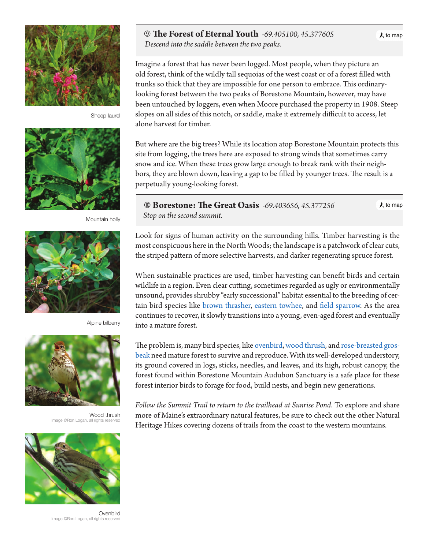

Sheep laurel



Mountain holly



Alpine bilberry



Wood thrush Image ©Ron Logan, all rights reserved



**Ovenbird** Image ©Ron Logan, all rights reserved

#### **The Forest of Eternal Youth** *-69.405100, 45.377605*

 *Descend into the saddle between the two peaks.*

Imagine a forest that has never been logged. Most people, when they picture an old forest, think of the wildly tall sequoias of the west coast or of a forest filled with trunks so thick that they are impossible for one person to embrace. This ordinarylooking forest between the two peaks of Borestone Mountain, however, may have been untouched by loggers, even when Moore purchased the property in 1908. Steep slopes on all sides of this notch, or saddle, make it extremely difficult to access, let alone harvest for timber.

But where are the big trees? While its location atop Borestone Mountain protects this site from logging, the trees here are exposed to strong winds that sometimes carry snow and ice. When these trees grow large enough to break rank with their neighbors, they are blown down, leaving a gap to be filled by younger trees. The result is a perpetually young-looking forest.

 **Borestone: The Great Oasis** *-69.403656, 45.377256 Stop on the second summit.*

 $\Lambda$  to map

Look for signs of human activity on the surrounding hills. Timber harvesting is the most conspicuous here in the North Woods; the landscape is a patchwork of clear cuts, the striped pattern of more selective harvests, and darker regenerating spruce forest.

When sustainable practices are used, timber harvesting can benefit birds and certain wildlife in a region. Even clear cutting, sometimes regarded as ugly or environmentally unsound, provides shrubby "early successional" habitat essential to the breeding of certain bird species like [brown thrasher](http://www.allaboutbirds.org/guide/Brown_Thrasher/id), [eastern towhee](http://www.allaboutbirds.org/guide/Eastern_Towhee/id), and [field sparrow.](http://www.allaboutbirds.org/guide/Field_Sparrow/id) As the area continues to recover, it slowly transitions into a young, even-aged forest and eventually into a mature forest.

The problem is, many bird species, like [ovenbird](http://www.allaboutbirds.org/guide/Ovenbird/id), [wood thrush](http://dendro.cnre.vt.edu/dendrology/syllabus/factsheet.cfm?ID=116), and [rose-breasted gros](http://www.allaboutbirds.org/guide/Rose-breasted_Grosbeak/id)[beak](http://www.allaboutbirds.org/guide/Rose-breasted_Grosbeak/id) need mature forest to survive and reproduce. With its well-developed understory, its ground covered in logs, sticks, needles, and leaves, and its high, robust canopy, the forest found within Borestone Mountain Audubon Sanctuary is a safe place for these forest interior birds to forage for food, build nests, and begin new generations.

*Follow the Summit Trail to return to the trailhead at Sunrise Pond*. To explore and share more of Maine's extraordinary natural features, be sure to check out the other Natural Heritage Hikes covering dozens of trails from the coast to the western mountains.

 $\bigwedge$  to map